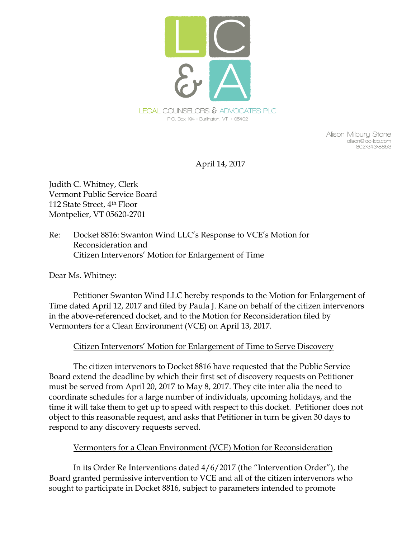

**Alison Milbury Stone alison@lac-lca.com 802•343•8853**

April 14, 2017

Judith C. Whitney, Clerk Vermont Public Service Board 112 State Street, 4th Floor Montpelier, VT 05620-2701

Re: Docket 8816: Swanton Wind LLC's Response to VCE's Motion for Reconsideration and Citizen Intervenors' Motion for Enlargement of Time

Dear Ms. Whitney:

Petitioner Swanton Wind LLC hereby responds to the Motion for Enlargement of Time dated April 12, 2017 and filed by Paula J. Kane on behalf of the citizen intervenors in the above-referenced docket, and to the Motion for Reconsideration filed by Vermonters for a Clean Environment (VCE) on April 13, 2017.

## Citizen Intervenors' Motion for Enlargement of Time to Serve Discovery

The citizen intervenors to Docket 8816 have requested that the Public Service Board extend the deadline by which their first set of discovery requests on Petitioner must be served from April 20, 2017 to May 8, 2017. They cite inter alia the need to coordinate schedules for a large number of individuals, upcoming holidays, and the time it will take them to get up to speed with respect to this docket. Petitioner does not object to this reasonable request, and asks that Petitioner in turn be given 30 days to respond to any discovery requests served.

## Vermonters for a Clean Environment (VCE) Motion for Reconsideration

In its Order Re Interventions dated 4/6/2017 (the "Intervention Order"), the Board granted permissive intervention to VCE and all of the citizen intervenors who sought to participate in Docket 8816, subject to parameters intended to promote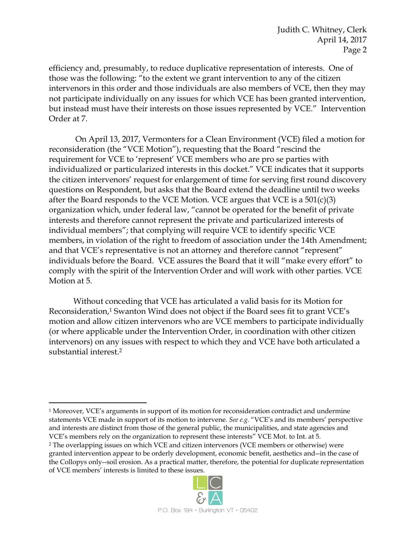efficiency and, presumably, to reduce duplicative representation of interests. One of those was the following: "to the extent we grant intervention to any of the citizen intervenors in this order and those individuals are also members of VCE, then they may not participate individually on any issues for which VCE has been granted intervention, but instead must have their interests on those issues represented by VCE." Intervention Order at 7.

On April 13, 2017, Vermonters for a Clean Environment (VCE) filed a motion for reconsideration (the "VCE Motion"), requesting that the Board "rescind the requirement for VCE to 'represent' VCE members who are pro se parties with individualized or particularized interests in this docket." VCE indicates that it supports the citizen intervenors' request for enlargement of time for serving first round discovery questions on Respondent, but asks that the Board extend the deadline until two weeks after the Board responds to the VCE Motion. VCE argues that VCE is a 501(c)(3) organization which, under federal law, "cannot be operated for the benefit of private interests and therefore cannot represent the private and particularized interests of individual members"; that complying will require VCE to identify specific VCE members, in violation of the right to freedom of association under the 14th Amendment; and that VCE's representative is not an attorney and therefore cannot "represent" individuals before the Board. VCE assures the Board that it will "make every effort" to comply with the spirit of the Intervention Order and will work with other parties. VCE Motion at 5.

Without conceding that VCE has articulated a valid basis for its Motion for Reconsideration,<sup>1</sup> Swanton Wind does not object if the Board sees fit to grant VCE's motion and allow citizen intervenors who are VCE members to participate individually (or where applicable under the Intervention Order, in coordination with other citizen intervenors) on any issues with respect to which they and VCE have both articulated a substantial interest.<sup>2</sup>

 $\overline{a}$ 

<sup>2</sup> The overlapping issues on which VCE and citizen intervenors (VCE members or otherwise) were granted intervention appear to be orderly development, economic benefit, aesthetics and--in the case of the Collopys only--soil erosion. As a practical matter, therefore, the potential for duplicate representation of VCE members' interests is limited to these issues.



<sup>1</sup> Moreover, VCE's arguments in support of its motion for reconsideration contradict and undermine statements VCE made in support of its motion to intervene. *See e.g.* "VCE's and its members' perspective and interests are distinct from those of the general public, the municipalities, and state agencies and VCE's members rely on the organization to represent these interests" VCE Mot. to Int. at 5.